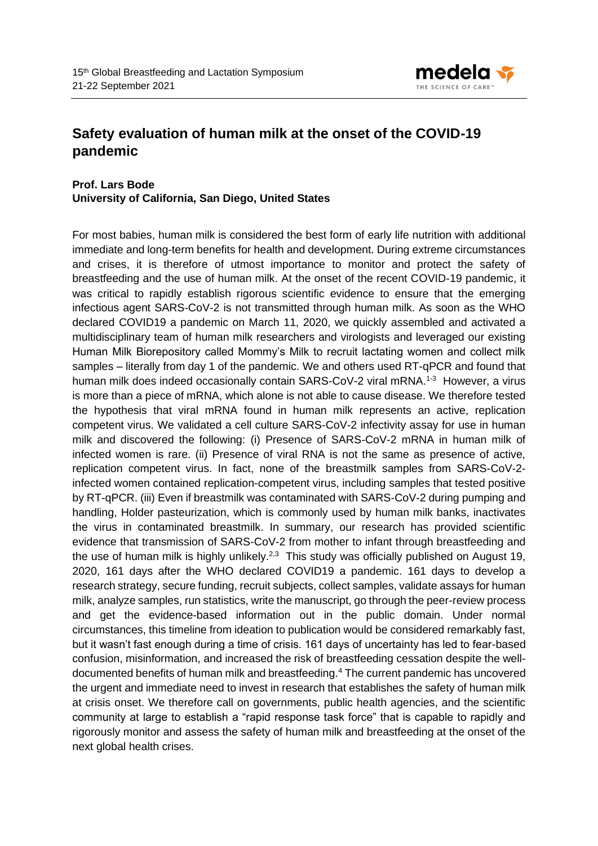

## **Safety evaluation of human milk at the onset of the COVID-19 pandemic**

## **Prof. Lars Bode University of California, San Diego, United States**

For most babies, human milk is considered the best form of early life nutrition with additional immediate and long-term benefits for health and development. During extreme circumstances and crises, it is therefore of utmost importance to monitor and protect the safety of breastfeeding and the use of human milk. At the onset of the recent COVID-19 pandemic, it was critical to rapidly establish rigorous scientific evidence to ensure that the emerging infectious agent SARS-CoV-2 is not transmitted through human milk. As soon as the WHO declared COVID19 a pandemic on March 11, 2020, we quickly assembled and activated a multidisciplinary team of human milk researchers and virologists and leveraged our existing Human Milk Biorepository called Mommy's Milk to recruit lactating women and collect milk samples – literally from day 1 of the pandemic. We and others used RT-qPCR and found that human milk does indeed occasionally contain SARS-CoV-2 viral mRNA.<sup>1-3</sup> However, a virus is more than a piece of mRNA, which alone is not able to cause disease. We therefore tested the hypothesis that viral mRNA found in human milk represents an active, replication competent virus. We validated a cell culture SARS-CoV-2 infectivity assay for use in human milk and discovered the following: (i) Presence of SARS-CoV-2 mRNA in human milk of infected women is rare. (ii) Presence of viral RNA is not the same as presence of active, replication competent virus. In fact, none of the breastmilk samples from SARS-CoV-2 infected women contained replication-competent virus, including samples that tested positive by RT-qPCR. (iii) Even if breastmilk was contaminated with SARS-CoV-2 during pumping and handling, Holder pasteurization, which is commonly used by human milk banks, inactivates the virus in contaminated breastmilk. In summary, our research has provided scientific evidence that transmission of SARS-CoV-2 from mother to infant through breastfeeding and the use of human milk is highly unlikely.<sup>2,3</sup> This study was officially published on August 19, 2020, 161 days after the WHO declared COVID19 a pandemic. 161 days to develop a research strategy, secure funding, recruit subjects, collect samples, validate assays for human milk, analyze samples, run statistics, write the manuscript, go through the peer-review process and get the evidence-based information out in the public domain. Under normal circumstances, this timeline from ideation to publication would be considered remarkably fast, but it wasn't fast enough during a time of crisis. 161 days of uncertainty has led to fear-based confusion, misinformation, and increased the risk of breastfeeding cessation despite the welldocumented benefits of human milk and breastfeeding.<sup>4</sup> The current pandemic has uncovered the urgent and immediate need to invest in research that establishes the safety of human milk at crisis onset. We therefore call on governments, public health agencies, and the scientific community at large to establish a "rapid response task force" that is capable to rapidly and rigorously monitor and assess the safety of human milk and breastfeeding at the onset of the next global health crises.